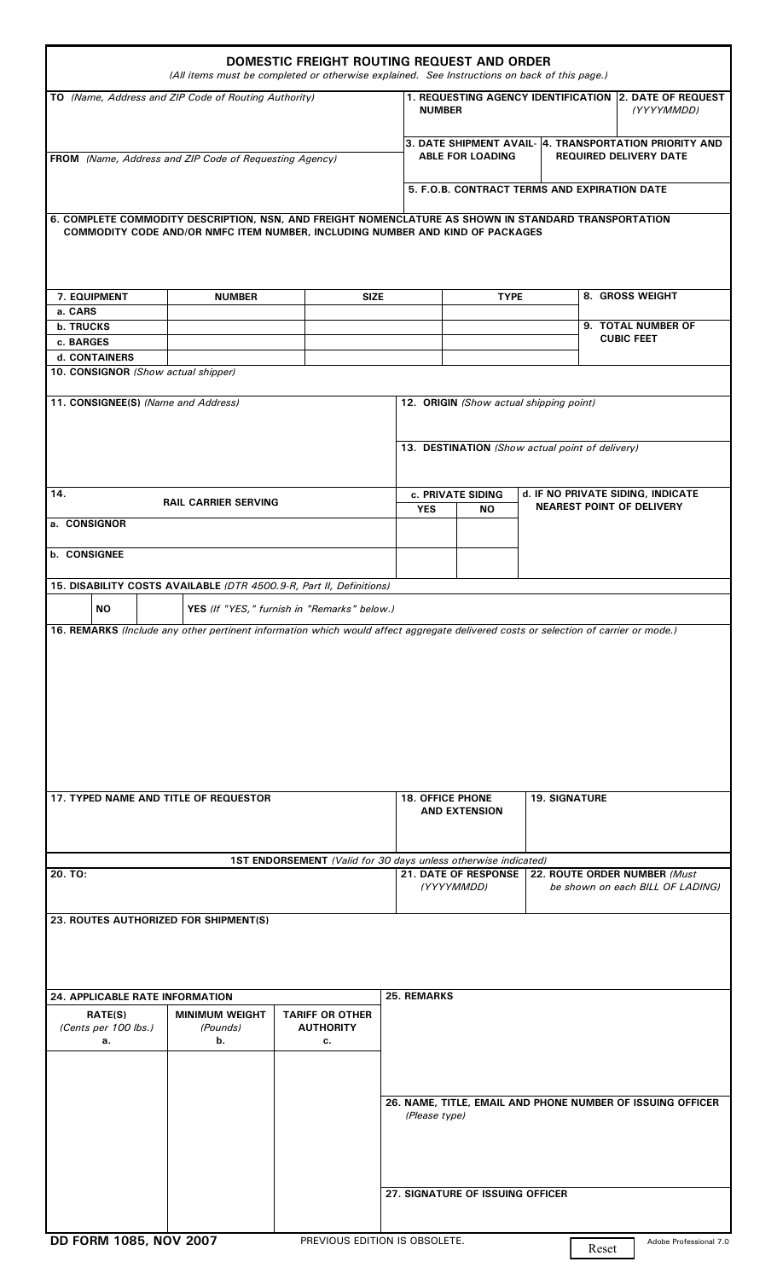| DOMESTIC FREIGHT ROUTING REQUEST AND ORDER<br>(All items must be completed or otherwise explained. See Instructions on back of this page.)                                            |                                         |                                                  |  |                                                                                                                    |  |                                         |  |
|---------------------------------------------------------------------------------------------------------------------------------------------------------------------------------------|-----------------------------------------|--------------------------------------------------|--|--------------------------------------------------------------------------------------------------------------------|--|-----------------------------------------|--|
| TO (Name, Address and ZIP Code of Routing Authority)                                                                                                                                  |                                         |                                                  |  | 1. REQUESTING AGENCY IDENTIFICATION 2. DATE OF REQUEST<br><b>NUMBER</b><br>(YYYYMMDD)                              |  |                                         |  |
|                                                                                                                                                                                       |                                         |                                                  |  | 3. DATE SHIPMENT AVAIL- 4. TRANSPORTATION PRIORITY AND<br><b>ABLE FOR LOADING</b><br><b>REQUIRED DELIVERY DATE</b> |  |                                         |  |
| FROM (Name, Address and ZIP Code of Requesting Agency)                                                                                                                                |                                         |                                                  |  |                                                                                                                    |  |                                         |  |
|                                                                                                                                                                                       |                                         |                                                  |  | 5. F.O.B. CONTRACT TERMS AND EXPIRATION DATE                                                                       |  |                                         |  |
| 6. COMPLETE COMMODITY DESCRIPTION, NSN, AND FREIGHT NOMENCLATURE AS SHOWN IN STANDARD TRANSPORTATION<br>COMMODITY CODE AND/OR NMFC ITEM NUMBER, INCLUDING NUMBER AND KIND OF PACKAGES |                                         |                                                  |  |                                                                                                                    |  |                                         |  |
| 7. EQUIPMENT<br>a. CARS                                                                                                                                                               | <b>NUMBER</b><br><b>SIZE</b>            |                                                  |  | <b>TYPE</b>                                                                                                        |  | 8. GROSS WEIGHT                         |  |
| <b>b. TRUCKS</b>                                                                                                                                                                      |                                         |                                                  |  |                                                                                                                    |  | 9. TOTAL NUMBER OF<br><b>CUBIC FEET</b> |  |
| c. BARGES<br>d. CONTAINERS                                                                                                                                                            |                                         |                                                  |  |                                                                                                                    |  |                                         |  |
| 10. CONSIGNOR (Show actual shipper)                                                                                                                                                   |                                         |                                                  |  |                                                                                                                    |  |                                         |  |
| 11. CONSIGNEE(S) (Name and Address)                                                                                                                                                   |                                         |                                                  |  | 12. ORIGIN (Show actual shipping point)                                                                            |  |                                         |  |
|                                                                                                                                                                                       |                                         |                                                  |  | 13. DESTINATION (Show actual point of delivery)                                                                    |  |                                         |  |
| 14.<br><b>RAIL CARRIER SERVING</b>                                                                                                                                                    |                                         |                                                  |  | d. IF NO PRIVATE SIDING, INDICATE<br>c. PRIVATE SIDING<br><b>NEAREST POINT OF DELIVERY</b><br><b>YES</b><br>NO.    |  |                                         |  |
| a. CONSIGNOR                                                                                                                                                                          |                                         |                                                  |  |                                                                                                                    |  |                                         |  |
| <b>b. CONSIGNEE</b>                                                                                                                                                                   |                                         |                                                  |  |                                                                                                                    |  |                                         |  |
| 15. DISABILITY COSTS AVAILABLE (DTR 4500.9-R, Part II, Definitions)                                                                                                                   |                                         |                                                  |  |                                                                                                                    |  |                                         |  |
| NO<br>YES (If "YES," furnish in "Remarks" below.)                                                                                                                                     |                                         |                                                  |  |                                                                                                                    |  |                                         |  |
|                                                                                                                                                                                       |                                         |                                                  |  |                                                                                                                    |  |                                         |  |
| 17. TYPED NAME AND TITLE OF REQUESTOR                                                                                                                                                 |                                         |                                                  |  | <b>18. OFFICE PHONE</b><br><b>19. SIGNATURE</b>                                                                    |  |                                         |  |
|                                                                                                                                                                                       |                                         |                                                  |  | <b>AND EXTENSION</b>                                                                                               |  |                                         |  |
| 1ST ENDORSEMENT (Valid for 30 days unless otherwise indicated)<br>20. TO:                                                                                                             |                                         |                                                  |  | <b>21. DATE OF RESPONSE</b>                                                                                        |  | 22. ROUTE ORDER NUMBER (Must            |  |
|                                                                                                                                                                                       |                                         |                                                  |  | (YYYYMMDD)                                                                                                         |  | be shown on each BILL OF LADING)        |  |
| 23. ROUTES AUTHORIZED FOR SHIPMENT(S)                                                                                                                                                 |                                         |                                                  |  |                                                                                                                    |  |                                         |  |
|                                                                                                                                                                                       |                                         |                                                  |  |                                                                                                                    |  |                                         |  |
| <b>24. APPLICABLE RATE INFORMATION</b>                                                                                                                                                |                                         |                                                  |  | <b>25. REMARKS</b>                                                                                                 |  |                                         |  |
| <b>RATE(S)</b><br>(Cents per 100 lbs.)<br>а.                                                                                                                                          | <b>MINIMUM WEIGHT</b><br>(Pounds)<br>b. | <b>TARIFF OR OTHER</b><br><b>AUTHORITY</b><br>с. |  |                                                                                                                    |  |                                         |  |
|                                                                                                                                                                                       |                                         |                                                  |  |                                                                                                                    |  |                                         |  |
|                                                                                                                                                                                       |                                         |                                                  |  | 26. NAME, TITLE, EMAIL AND PHONE NUMBER OF ISSUING OFFICER<br>(Please type)                                        |  |                                         |  |
|                                                                                                                                                                                       |                                         |                                                  |  | 27. SIGNATURE OF ISSUING OFFICER                                                                                   |  |                                         |  |
| DD FORM 1085, NOV 2007<br>PREVIOUS EDITION IS OBSOLETE.<br>Adobe Professional 7.0<br>Reset                                                                                            |                                         |                                                  |  |                                                                                                                    |  |                                         |  |